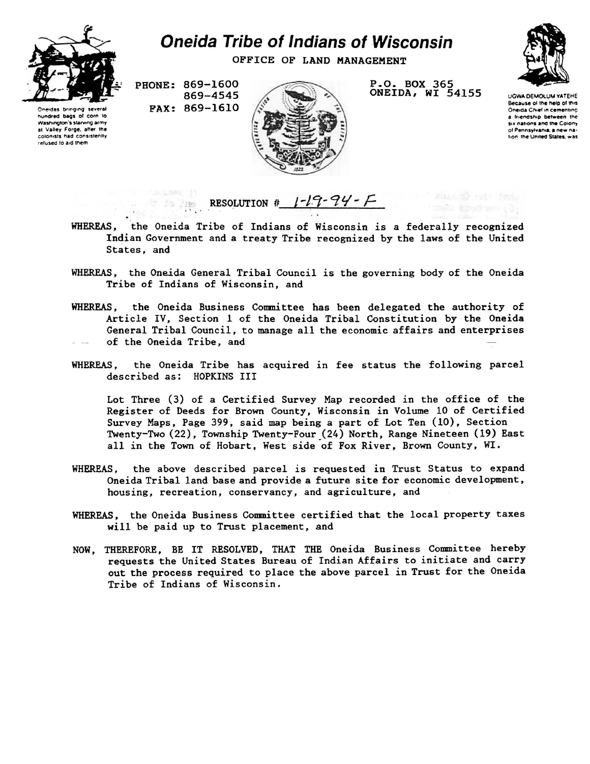

hundred bags of corn to Washington's starving army at Valley Forge, after the colonists had consistently refused to aid them

## *Oneida Tribe of Indians of Wisconsin*

**OFFICE OF LAND MANAGEMENT** 

**PHONE: 869-1600 869-4545 PAX: 869-1610** 



**P.O. BOX 365 ONEIDA, WI 54155** 



UGWA DEMOLUM YATEHE Because of the help of this Oneida Ch»ef in cementmc a friendship between the six nations and the Colony of Pennsylvania, a new nation tne United States, was

## RESOLUTION #  $1-\sqrt{7}-94-7$ a de la lim

- WHEREAS, the Oneida Tribe of Indians of Wisconsin is a federally recognized Indian Government and a treaty Tribe recognized by the laws of the United States, and
- WHEREAS, the Oneida General Tribal Council is the governing body of the Oneida Tribe of Indians of Wisconsin, and
- WHEREAS, the Oneida Business Committee has been delegated the authority of Article IV, Section 1 of the Oneida Tribal Constitution by the Oneida General Tribal Council, to manage all the economic affairs and enterprises of the Oneida Tribe, and
- WHEREAS, the Oneida Tribe has acquired in fee status the following parcel described as: HOPKINS III

Lot Three (3) of a Certified Survey Map recorded in the office of the Register of Deeds for Brown County, Wisconsin in Volume 10 of Certified Survey Maps, Page 399, said map being a part of Lot Ten (10), Section Twenty-Two (22), Township Twenty-Four (24) North, Range Nineteen (19) East all in the Town of Hobart, West side of Fox River, Brown County, WI.

- WHEREAS, the above described parcel is requested in Trust Status to expand Oneida Tribal land base and provide a future site for economic development, housing, recreation, conservancy, and agriculture, and
- WHEREAS, the Oneida Business Committee certified that the local property taxes will be paid up to Trust placement, and
- NOW, THEREFORE, BE IT RESOLVED, THAT THE Oneida Business Committee hereby requests the United States Bureau of Indian Affairs to initiate and carry out the process required to place the above parcel in Trust for the Oneida Tribe of Indians of Wisconsin.